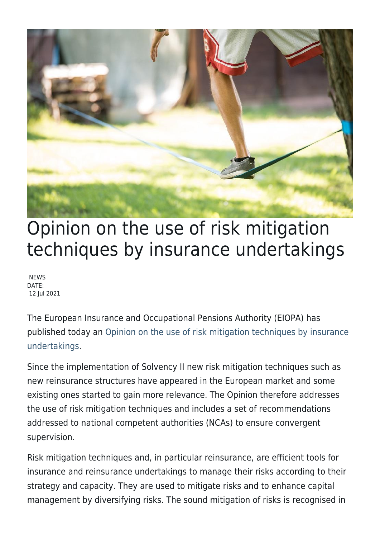

## Opinion on the use of risk mitigation techniques by insurance undertakings

**NEWS** DATE: 12 Jul 2021

The European Insurance and Occupational Pensions Authority (EIOPA) has published today an [Opinion on the use of risk mitigation techniques by insurance](https://www.eiopa.europa.eu/sites/default/files/publications/opinions/14.0_eiopa-bos-21-306-opinion-risk-mitigation-techniques.pdf) [undertakings.](https://www.eiopa.europa.eu/sites/default/files/publications/opinions/14.0_eiopa-bos-21-306-opinion-risk-mitigation-techniques.pdf)

Since the implementation of Solvency II new risk mitigation techniques such as new reinsurance structures have appeared in the European market and some existing ones started to gain more relevance. The Opinion therefore addresses the use of risk mitigation techniques and includes a set of recommendations addressed to national competent authorities (NCAs) to ensure convergent supervision.

Risk mitigation techniques and, in particular reinsurance, are efficient tools for insurance and reinsurance undertakings to manage their risks according to their strategy and capacity. They are used to mitigate risks and to enhance capital management by diversifying risks. The sound mitigation of risks is recognised in